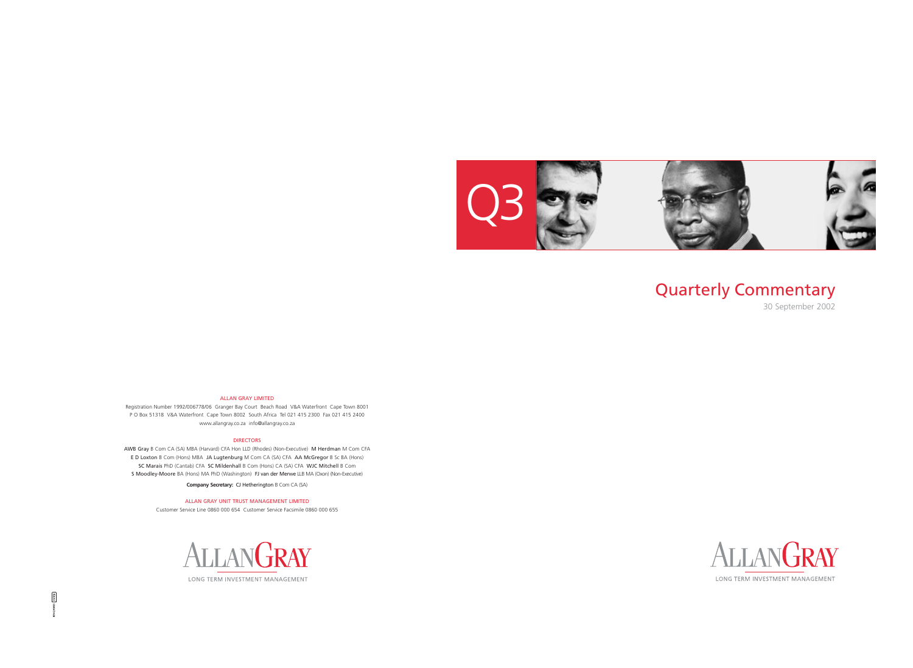### Quarterly Commentary 30 September 2002





### ALLAN GRAY LIMITED

Registration Number 1992/006778/06 Granger Bay Court Beach Road V&A Waterfront Cape Town 8001 P O Box 51318 V&A Waterfront Cape Town 8002 South Africa Tel 021 415 2300 Fax 021 415 2400 www.allangray.co.za info@allangray.co.za

### DIRECTORS

AWB Gray B Com CA (SA) MBA (Harvard) CFA Hon LLD (Rhodes) (Non-Executive) M Herdman M Com CFA E D Loxton B Com (Hons) MBA JA Lugtenburg M Com CA (SA) CFA AA McGregor B Sc BA (Hons) SC Marais PhD (Cantab) CFA SC Mildenhall B Com (Hons) CA (SA) CFA WJC Mitchell B Com S Moodley-Moore BA (Hons) MA PhD (Washington) FJ van der Merwe LLB MA (Oxon) (Non-Executive)

**Company Secretary:** CJ Hetherington B Com CA (SA)

ALLAN GRAY UNIT TRUST MANAGEMENT LIMITED

Customer Service Line 0860 000 654 Customer Service Facsimile 0860 000 655

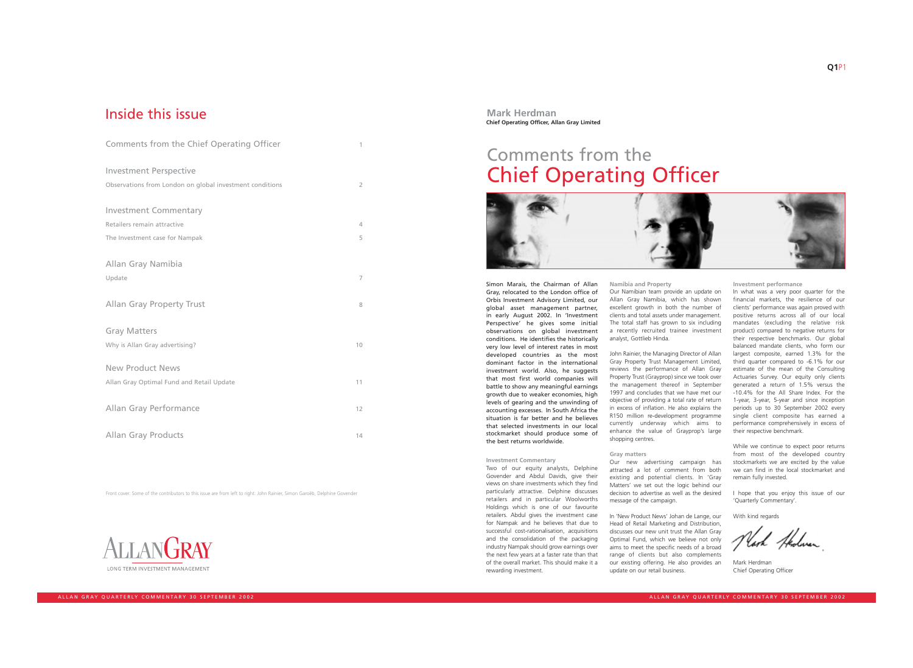Front cover: Some of the contributors to this issue are from left to right: John Rainier, Simon Garoëb, Delphine Govender



## Inside this issue

| Comments from the Chief Operating Officer                | 1              |
|----------------------------------------------------------|----------------|
| <b>Investment Perspective</b>                            |                |
| Observations from London on global investment conditions | $\overline{2}$ |
| <b>Investment Commentary</b>                             |                |
| Retailers remain attractive                              | 4              |
| The Investment case for Nampak                           | 5              |
| Allan Gray Namibia                                       |                |
| Update                                                   | 7              |
| <b>Allan Gray Property Trust</b>                         | 8              |
| <b>Gray Matters</b>                                      |                |
| Why is Allan Gray advertising?                           | 10             |
| <b>New Product News</b>                                  |                |
| Allan Gray Optimal Fund and Retail Update                | 11             |
| <b>Allan Gray Performance</b>                            | 12             |
| <b>Allan Gray Products</b>                               | 14             |

Simon Marais, the Chairman of Allan Gray, relocated to the London office of Orbis Investment Advisory Limited, our global asset management partner, in early August 2002. In 'Investment Perspective' he gives some initial observations on global investment conditions. He identifies the historically very low level of interest rates in most developed countries as the most dominant factor in the international investment world. Also, he suggests that most first world companies will battle to show any meaningful earnings growth due to weaker economies, high levels of gearing and the unwinding of accounting excesses. In South Africa the situation is far better and he believes that selected investments in our local stockmarket should produce some of the best returns worldwide.

John Rainier, the Managing Director of Allan Gray Property Trust Management Limited, reviews the performance of Allan Gray Property Trust (Grayprop) since we took over the management thereof in September 1997 and concludes that we have met our objective of providing a total rate of return in excess of inflation. He also explains the R150 million re-development programme currently underway which aims to enhance the value of Grayprop's large shopping centres.

### **Investment Commentary**

Two of our equity analysts, Delphine Govender and Abdul Davids, give their views on share investments which they find particularly attractive. Delphine discusses retailers and in particular Woolworths Holdings which is one of our favourite retailers. Abdul gives the investment case for Nampak and he believes that due to successful cost-rationalisation, acquisitions and the consolidation of the packaging industry Nampak should grow earnings over the next few years at a faster rate than that of the overall market. This should make it a rewarding investment.

**Namibia and Property** Our Namibian team provide an update on Allan Gray Namibia, which has shown excellent growth in both the number of clients and total assets under management. The total staff has grown to six including a recently recruited trainee investment analyst, Gottlieb Hinda.

### **Gray matters**

Our new advertising campaign has attracted a lot of comment from both existing and potential clients. In 'Gray Matters' we set out the logic behind our decision to advertise as well as the desired message of the campaign.

In 'New Product News' Johan de Lange, our Head of Retail Marketing and Distribution, discusses our new unit trust the Allan Gray Optimal Fund, which we believe not only aims to meet the specific needs of a broad range of clients but also complements our existing offering. He also provides an update on our retail business.

### **Investment performance**

In what was a very poor quarter for the financial markets, the resilience of our clients' performance was again proved with positive returns across all of our local mandates (excluding the relative risk product) compared to negative returns for their respective benchmarks. Our global balanced mandate clients, who form our largest composite, earned 1.3% for the third quarter compared to -6.1% for our estimate of the mean of the Consulting Actuaries Survey. Our equity only clients generated a return of 1.5% versus the -10.4% for the All Share Index. For the 1-year, 3-year, 5-year and since inception periods up to 30 September 2002 every single client composite has earned a performance comprehensively in excess of their respective benchmark.

While we continue to expect poor returns from most of the developed country stockmarkets we are excited by the value we can find in the local stockmarket and remain fully invested.

I hope that you enjoy this issue of our 'Quarterly Commentary'.

With kind regards

Nach Hedwar

Mark Herdman Chief Operating Officer

### **Mark Herdman Chief Operating Officer, Allan Gray Limited**

## Comments from the Chief Operating Officer

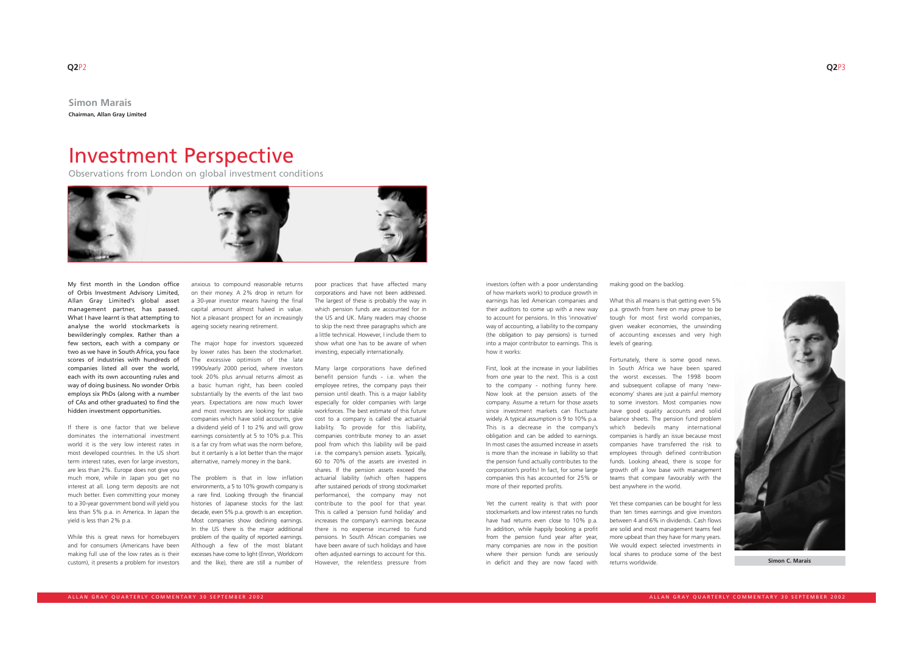## Investment Perspective

My first month in the London office of Orbis Investment Advisory Limited, Allan Gray Limited's global asset management partner, has passed. What I have learnt is that attempting to analyse the world stockmarkets is bewilderingly complex. Rather than a few sectors, each with a company or two as we have in South Africa, you face scores of industries with hundreds of companies listed all over the world, each with its own accounting rules and way of doing business. No wonder Orbis employs six PhDs (along with a number of CAs and other graduates) to find the hidden investment opportunities.

If there is one factor that we believe dominates the international investment world it is the very low interest rates in most developed countries. In the US short term interest rates, even for large investors, are less than 2%. Europe does not give you much more, while in Japan you get no interest at all. Long term deposits are not much better. Even committing your money to a 30-year government bond will yield you less than 5% p.a. in America. In Japan the yield is less than 2% p.a.

While this is great news for homebuyers and for consumers (Americans have been making full use of the low rates as is their custom), it presents a problem for investors anxious to compound reasonable returns on their money. A 2% drop in return for a 30-year investor means having the final capital amount almost halved in value. Not a pleasant prospect for an increasingly ageing society nearing retirement.

The major hope for investors squeezed by lower rates has been the stockmarket. The excessive optimism of the late 1990s/early 2000 period, where investors took 20% plus annual returns almost as a basic human right, has been cooled substantially by the events of the last two years. Expectations are now much lower and most investors are looking for stable companies which have solid accounts, give a dividend yield of 1 to 2% and will grow earnings consistently at 5 to 10% p.a. This is a far cry from what was the norm before, but it certainly is a lot better than the major alternative, namely money in the bank.

The problem is that in low inflation environments, a 5 to 10% growth company is a rare find. Looking through the financial histories of Japanese stocks for the last decade, even 5% p.a. growth is an exception. Most companies show declining earnings. In the US there is the major additional problem of the quality of reported earnings. Although a few of the most blatant excesses have come to light (Enron, Worldcom and the like), there are still a number of poor practices that have affected many corporations and have not been addressed. The largest of these is probably the way in which pension funds are accounted for in the US and UK. Many readers may choose to skip the next three paragraphs which are a little technical. However, I include them to show what one has to be aware of when investing, especially internationally.

**Simon Marais Chairman, Allan Gray Limited**

> Many large corporations have defined benefit pension funds - i.e. when the employee retires, the company pays their pension until death. This is a major liability especially for older companies with large workforces. The best estimate of this future cost to a company is called the actuarial liability. To provide for this liability, companies contribute money to an asset pool from which this liability will be paid i.e. the company's pension assets. Typically, 60 to 70% of the assets are invested in shares. If the pension assets exceed the actuarial liability (which often happens after sustained periods of strong stockmarket performance), the company may not contribute to the pool for that year. This is called a 'pension fund holiday' and increases the company's earnings because there is no expense incurred to fund pensions. In South African companies we have been aware of such holidays and have often adjusted earnings to account for this. However, the relentless pressure from

investors (often with a poor understanding of how markets work) to produce growth in earnings has led American companies and their auditors to come up with a new way to account for pensions. In this 'innovative' way of accounting, a liability to the company (the obligation to pay pensions) is turned into a major contributor to earnings. This is how it works:

First, look at the increase in your liabilities from one year to the next. This is a cost to the company - nothing funny here. Now look at the pension assets of the company. Assume a return for those assets since investment markets can fluctuate widely. A typical assumption is 9 to 10% p.a. This is a decrease in the company's obligation and can be added to earnings. In most cases the assumed increase in assets is more than the increase in liability so that the pension fund actually contributes to the corporation's profits! In fact, for some large companies this has accounted for 25% or more of their reported profits.

Yet the current reality is that with poor stockmarkets and low interest rates no funds have had returns even close to 10% p.a. In addition, while happily booking a profit from the pension fund year after year, many companies are now in the position where their pension funds are seriously in deficit and they are now faced with making good on the backlog.

What this all means is that getting even 5% p.a. growth from here on may prove to be tough for most first world companies, given weaker economies, the unwinding of accounting excesses and very high levels of gearing.

Fortunately, there is some good news. In South Africa we have been spared the worst excesses. The 1998 boom and subsequent collapse of many 'neweconomy' shares are just a painful memory to some investors. Most companies now have good quality accounts and solid balance sheets. The pension fund problem which bedevils many international companies is hardly an issue because most companies have transferred the risk to employees through defined contribution funds. Looking ahead, there is scope for growth off a low base with management teams that compare favourably with the best anywhere in the world.

Yet these companies can be bought for less than ten times earnings and give investors between 4 and 6% in dividends. Cash flows are solid and most management teams feel more upbeat than they have for many years. We would expect selected investments in local shares to produce some of the best returns worldwide.



**Simon C. Marais**

Observations from London on global investment conditions

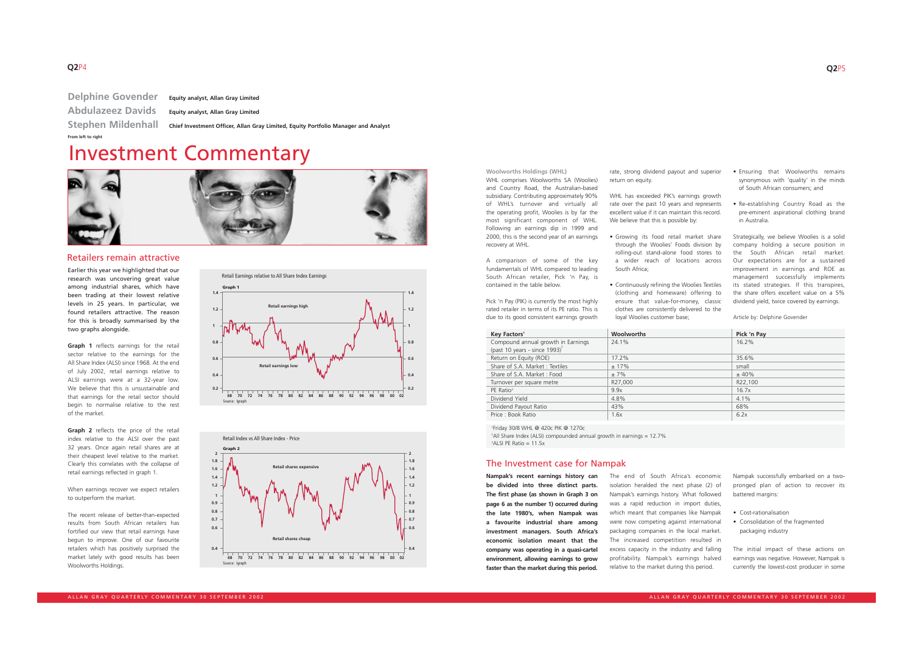return on equity.

Earlier this year we highlighted that our research was uncovering great value among industrial shares, which have been trading at their lowest relative levels in 25 years. In particular, we found retailers attractive. The reason for this is broadly summarised by the two graphs alongside.

**Graph 1** reflects earnings for the retail sector relative to the earnings for the All Share Index (ALSI) since 1968. At the end of July 2002, retail earnings relative to ALSI earnings were at a 32-year low. We believe that this is unsustainable and that earnings for the retail sector should begin to normalise relative to the rest of the market.

**Graph 2** reflects the price of the retail index relative to the ALSI over the past 32 years. Once again retail shares are at their cheapest level relative to the market. Clearly this correlates with the collapse of retail earnings reflected in graph 1.

WHL has exceeded PIK's earnings growth rate over the past 10 years and represents excellent value if it can maintain this record. We believe that this is possible by:

When earnings recover we expect retailers to outperform the market.

The recent release of better-than-expected results from South African retailers has fortified our view that retail earnings have begun to improve. One of our favourite retailers which has positively surprised the market lately with good results has been Woolworths Holdings.

**Woolworths Holdings (WHL)** WHL comprises Woolworths SA (Woolies) and Country Road, the Australian-based subsidiary. Contributing approximately 90% of WHL's turnover and virtually all the operating profit, Woolies is by far the most significant component of WHL. Following an earnings dip in 1999 and 2000, this is the second year of an earnings recovery at WHL.

A comparison of some of the key fundamentals of WHL compared to leading South African retailer, Pick 'n Pay, is contained in the table below.

Pick 'n Pay (PIK) is currently the most highly rated retailer in terms of its PE ratio. This is due to its good consistent earnings growth rate, strong dividend payout and superior

<sup>2</sup> All Share Index (ALSI) compounded annual growth in earnings = 12.7% 3 ALSI PE Ratio = 11.5x

- Growing its food retail market share through the Woolies' Foods division by rolling-out stand-alone food stores to a wider reach of locations across South Africa;
- Continuously refining the Woolies Textiles (clothing and homeware) offering to ensure that value-for-money, classic clothes are consistently delivered to the loyal Woolies customer base;
- Ensuring that Woolworths remains synonymous with 'quality' in the minds of South African consumers; and
- Re-establishing Country Road as the pre-eminent aspirational clothing brand in Australia.

Strategically, we believe Woolies is a solid company holding a secure position in the South African retail market. Our expectations are for a sustained improvement in earnings and ROE as management successfully implements its stated strategies. If this transpires, the share offers excellent value on a 5% dividend yield, twice covered by earnings.

Article by: Delphine Govender





| Key Factors <sup>1</sup>                   | <b>Woolworths</b> | Pick 'n Pay |
|--------------------------------------------|-------------------|-------------|
| Compound annual growth in Earnings         | 24.1%             | 16.2%       |
| (past 10 years - since $1993)^2$           |                   |             |
| Return on Equity (ROE)                     | 17.2%             | 35.6%       |
| Share of S.A. Market: Textiles             | ± 17%             | small       |
| Share of S.A. Market: Food                 | $±7\%$            | ± 40%       |
| Turnover per square metre                  | R27,000           | R22,100     |
| PE Ratio <sup>3</sup>                      | 9.9x              | 16.7x       |
| Dividend Yield                             | 4.8%              | $4.1\%$     |
| Dividend Payout Ratio                      | 43%               | 68%         |
| Price: Book Ratio                          | 1.6x              | 6.2x        |
|                                            |                   |             |
| $15.1.$ 2010 $1111.$ $\odot$ $120.$ $\Box$ |                   |             |

1 Friday 30/8 WHL @ 420c PIK @ 1270c

**Nampak's recent earnings history can be divided into three distinct parts. The first phase (as shown in Graph 3 on page 6 as the number 1) occurred during the late 1980's, when Nampak was a favourite industrial share among investment managers. South Africa's economic isolation meant that the company was operating in a quasi-cartel environment, allowing earnings to grow faster than the market during this period.**

The end of South Africa's economic isolation heralded the next phase (2) of Nampak's earnings history. What followed was a rapid reduction in import duties, which meant that companies like Nampak were now competing against international packaging companies in the local market. The increased competition resulted in excess capacity in the industry and falling profitability. Nampak's earnings halved relative to the market during this period.

Nampak successfully embarked on a twopronged plan of action to recover its battered margins:

- Cost-rationalisation
- Consolidation of the fragmented packaging industry

The initial impact of these actions on earnings was negative. However, Nampak is currently the lowest-cost producer in some

## Investment Commentary





### Retailers remain attractive

### The Investment case for Nampak

**Delphine Govender Equity analyst, Allan Gray Limited Abdulazeez Davids Equity analyst, Allan Gray Limited From left to right**

**Stephen Mildenhall Chief Investment Officer, Allan Gray Limited, Equity Portfolio Manager and Analyst**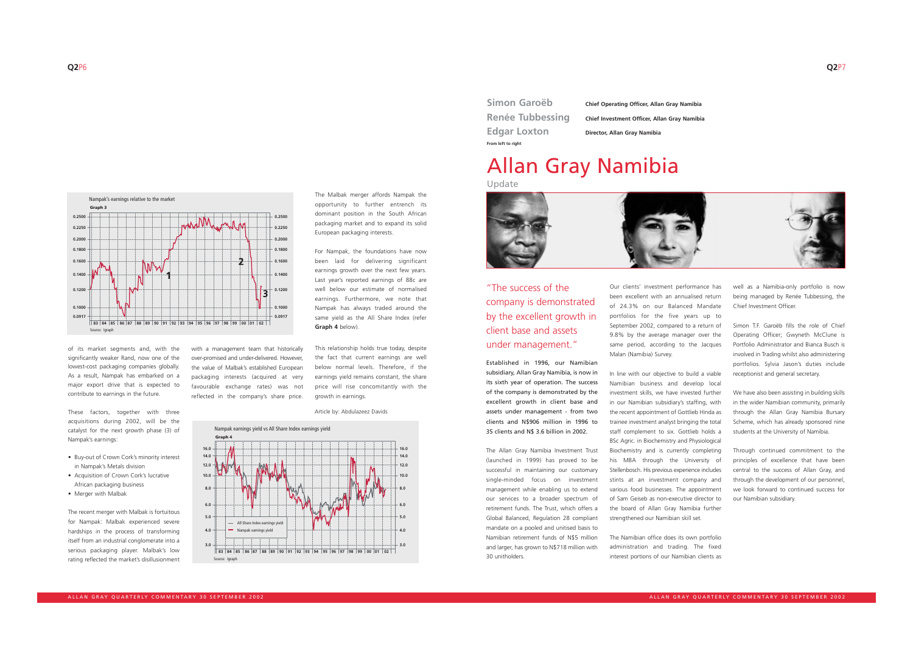lowest-cost packaging companies globally. As a result, Nampak has embarked on a major export drive that is expected to contribute to earnings in the future.

These factors, together with three acquisitions during 2002, will be the catalyst for the next growth phase (3) of Nampak's earnings:

- Buy-out of Crown Cork's minority interest in Nampak's Metals division
- Acquisition of Crown Cork's lucrative African packaging business
- Merger with Malbak

The recent merger with Malbak is fortuitous for Nampak: Malbak experienced severe hardships in the process of transforming itself from an industrial conglomerate into a serious packaging player. Malbak's low rating reflected the market's disillusionment with a management team that historically over-promised and under-delivered. However, the value of Malbak's established European packaging interests (acquired at very favourable exchange rates) was not reflected in the company's share price.



The Malbak merger affords Nampak the opportunity to further entrench its dominant position in the South African packaging market and to expand its solid European packaging interests.

For Nampak, the foundations have now been laid for delivering significant earnings growth over the next few years. Last year's reported earnings of 88c are well below our estimate of normalised earnings. Furthermore, we note that Nampak has always traded around the same yield as the All Share Index (refer **Graph 4** below).

This relationship holds true today, despite the fact that current earnings are well below normal levels. Therefore, if the earnings yield remains constant, the share price will rise concomitantly with the growth in earnings.

Nampak's earnings relative to the market

**0.1800 0.2000 0.2250 0.2500**

> **0.0917 0.1000**

**0.1200**

R

**0.1400 0.1600 0.1800 0.2000 0.2250 0.2500**

**Graph 3**



Established in 1996, our Namibian subsidiary, Allan Gray Namibia, is now in its sixth year of operation. The success of the company is demonstrated by the excellent growth in client base and assets under management - from two clients and N\$906 million in 1996 to 35 clients and N\$ 3.6 billion in 2002.

The Allan Gray Namibia Investment Trust (launched in 1999) has proved to be successful in maintaining our customary single-minded focus on investment management while enabling us to extend our services to a broader spectrum of retirement funds. The Trust, which offers a Global Balanced, Regulation 28 compliant mandate on a pooled and unitised basis to Namibian retirement funds of N\$5 million and larger, has grown to N\$718 million with 30 unitholders.

Our clients' investment performance has been excellent with an annualised return of 24.3% on our Balanced Mandate portfolios for the five years up to September 2002, compared to a return of 9.8% by the average manager over the same period, according to the Jacques Malan (Namibia) Survey.

In line with our objective to build a viable Namibian business and develop local investment skills, we have invested further in our Namibian subsidiary's staffing, with the recent appointment of Gottlieb Hinda as trainee investment analyst bringing the total staff complement to six. Gottlieb holds a BSc Agric. in Biochemistry and Physiological Biochemistry and is currently completing his MBA through the University of Stellenbosch. His previous experience includes stints at an investment company and various food businesses. The appointment of Sam Geiseb as non-executive director to the board of Allan Gray Namibia further strengthened our Namibian skill set.

The Namibian office does its own portfolio administration and trading. The fixed interest portions of our Namibian clients as



well as a Namibia-only portfolio is now being managed by Renée Tubbessing, the Chief Investment Officer.

Simon T.F. Garoëb fills the role of Chief Operating Officer; Gwyneth McClune is Portfolio Administrator and Bianca Busch is involved in Trading whilst also administering portfolios. Sylvia Jason's duties include receptionist and general secretary.

We have also been assisting in building skills in the wider Namibian community, primarily through the Allan Gray Namibia Bursary Scheme, which has already sponsored nine students at the University of Namibia.

Through continued commitment to the principles of excellence that have been central to the success of Allan Gray, and through the development of our personnel, we look forward to continued success for our Namibian subsidiary.

**Simon Garoëb Chief Operating Officer, Allan Gray Namibia Renée Tubbessing Chief Investment Officer, Allan Gray Namibia**

**Edgar Loxton Director, Allan Gray Namibia From left to right**

## Allan Gray Namibia Update



"The success of the company is demonstrated by the excellent growth in client base and assets under management."

Article by: Abdulazeez Davids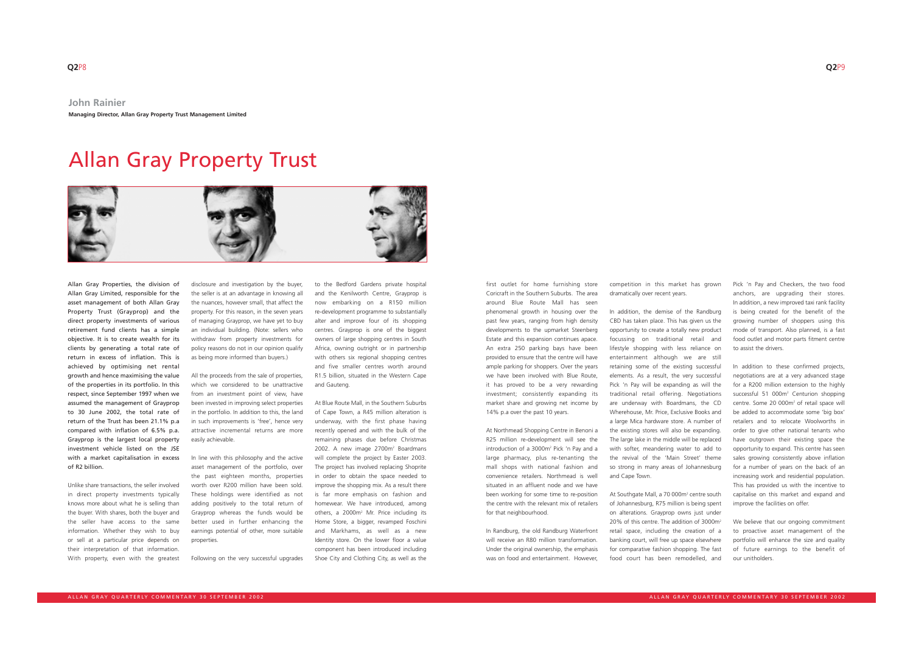Allan Gray Properties, the division of Allan Gray Limited, responsible for the asset management of both Allan Gray Property Trust (Grayprop) and the direct property investments of various retirement fund clients has a simple objective. It is to create wealth for its clients by generating a total rate of return in excess of inflation. This is achieved by optimising net rental growth and hence maximising the value of the properties in its portfolio. In this respect, since September 1997 when we assumed the management of Grayprop to 30 June 2002, the total rate of return of the Trust has been 21.1% p.a compared with inflation of 6.5% p.a. Grayprop is the largest local property investment vehicle listed on the JSE with a market capitalisation in excess of R2 billion.

Unlike share transactions, the seller involved in direct property investments typically knows more about what he is selling than the buyer. With shares, both the buyer and the seller have access to the same information. Whether they wish to buy or sell at a particular price depends on their interpretation of that information. With property, even with the greatest

disclosure and investigation by the buyer, the seller is at an advantage in knowing all the nuances, however small, that affect the property. For this reason, in the seven years of managing Grayprop, we have yet to buy an individual building. (Note: sellers who withdraw from property investments for policy reasons do not in our opinion qualify as being more informed than buyers.)

All the proceeds from the sale of properties, which we considered to be unattractive from an investment point of view, have been invested in improving select properties in the portfolio. In addition to this, the land in such improvements is 'free', hence very attractive incremental returns are more easily achievable.

In line with this philosophy and the active asset management of the portfolio, over the past eighteen months, properties worth over R200 million have been sold. These holdings were identified as not adding positively to the total return of Grayprop whereas the funds would be better used in further enhancing the earnings potential of other, more suitable properties.

Following on the very successful upgrades

to the Bedford Gardens private hospital and the Kenilworth Centre, Grayprop is now embarking on a R150 million re-development programme to substantially alter and improve four of its shopping centres. Grayprop is one of the biggest owners of large shopping centres in South Africa, owning outright or in partnership with others six regional shopping centres and five smaller centres worth around R1.5 billion, situated in the Western Cape and Gauteng.

> At Southgate Mall, a 70 000m<sup>2</sup> centre south of Johannesburg, R75 million is being spent on alterations. Grayprop owns just under 20% of this centre. The addition of 3000m<sup>2</sup> retail space, including the creation of a banking court, will free up space elsewhere for comparative fashion shopping. The fast food court has been remodelled, and

At Blue Route Mall, in the Southern Suburbs of Cape Town, a R45 million alteration is underway, with the first phase having recently opened and with the bulk of the remaining phases due before Christmas 2002. A new image 2700m<sup>2</sup> Boardmans will complete the project by Easter 2003. The project has involved replacing Shoprite in order to obtain the space needed to improve the shopping mix. As a result there is far more emphasis on fashion and homewear. We have introduced, among others, a 2000m<sup>2</sup> Mr. Price including its Home Store, a bigger, revamped Foschini and Markhams, as well as a new Identity store. On the lower floor a value component has been introduced including Shoe City and Clothing City, as well as the

We believe that our ongoing commitment to proactive asset management of the portfolio will enhance the size and quality of future earnings to the benefit of our unitholders.

first outlet for home furnishing store Coricraft in the Southern Suburbs. The area around Blue Route Mall has seen phenomenal growth in housing over the past few years, ranging from high density developments to the upmarket Steenberg Estate and this expansion continues apace. An extra 250 parking bays have been provided to ensure that the centre will have ample parking for shoppers. Over the years we have been involved with Blue Route, it has proved to be a very rewarding investment; consistently expanding its market share and growing net income by 14% p.a over the past 10 years.

At Northmead Shopping Centre in Benoni a R25 million re-development will see the introduction of a 3000m2 Pick 'n Pay and a large pharmacy, plus re-tenanting the mall shops with national fashion and convenience retailers. Northmead is well situated in an affluent node and we have been working for some time to re-position the centre with the relevant mix of retailers for that neighbourhood.

In Randburg, the old Randburg Waterfront will receive an R80 million transformation. Under the original ownership, the emphasis was on food and entertainment. However,

competition in this market has grown dramatically over recent years.

In addition, the demise of the Randburg CBD has taken place. This has given us the opportunity to create a totally new product focussing on traditional retail and lifestyle shopping with less reliance on entertainment although we are still retaining some of the existing successful elements. As a result, the very successful Pick 'n Pay will be expanding as will the traditional retail offering. Negotiations are underway with Boardmans, the CD Wherehouse, Mr. Price, Exclusive Books and a large Mica hardware store. A number of the existing stores will also be expanding. The large lake in the middle will be replaced with softer, meandering water to add to the revival of the 'Main Street' theme so strong in many areas of Johannesburg and Cape Town.

Pick 'n Pay and Checkers, the two food anchors, are upgrading their stores. In addition, a new improved taxi rank facility is being created for the benefit of the growing number of shoppers using this mode of transport. Also planned, is a fast food outlet and motor parts fitment centre to assist the drivers.

In addition to these confirmed projects, negotiations are at a very advanced stage for a R200 million extension to the highly successful 51 000m<sup>2</sup> Centurion shopping centre. Some 20 000m2 of retail space will be added to accommodate some 'big box' retailers and to relocate Woolworths in order to give other national tenants who have outgrown their existing space the opportunity to expand. This centre has seen sales growing consistently above inflation for a number of years on the back of an increasing work and residential population. This has provided us with the incentive to capitalise on this market and expand and improve the facilities on offer.

# Allan Gray Property Trust

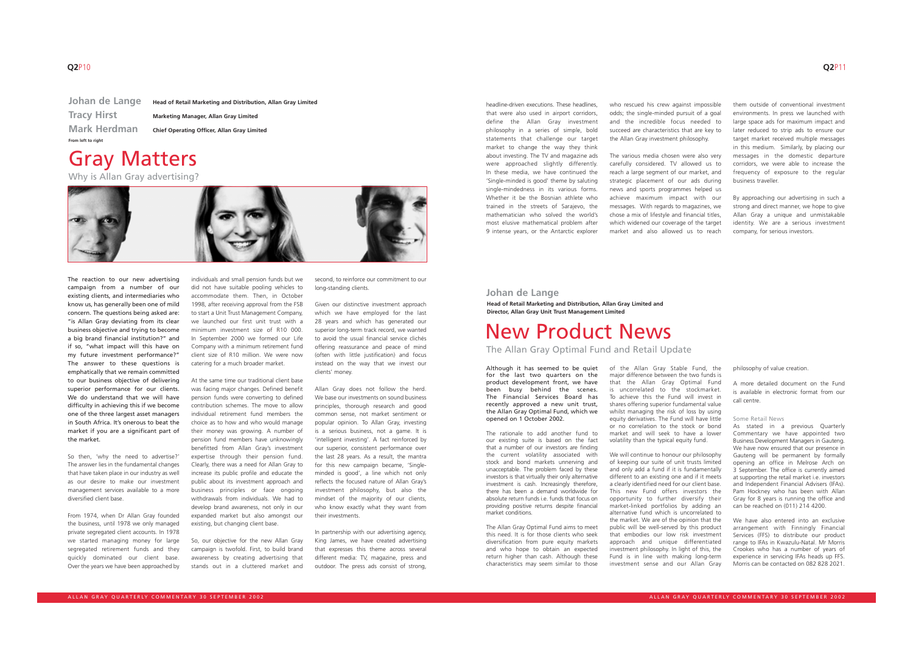The reaction to our new advertising campaign from a number of our existing clients, and intermediaries who know us, has generally been one of mild concern. The questions being asked are: "is Allan Gray deviating from its clear business objective and trying to become a big brand financial institution?" and if so, "what impact will this have on my future investment performance?" The answer to these questions is emphatically that we remain committed to our business objective of delivering superior performance for our clients. We do understand that we will have difficulty in achieving this if we become one of the three largest asset managers in South Africa. It's onerous to beat the market if you are a significant part of the market.

So then, 'why the need to advertise?' The answer lies in the fundamental changes that have taken place in our industry as well as our desire to make our investment management services available to a more diversified client base.

From 1974, when Dr Allan Gray founded the business, until 1978 we only managed private segregated client accounts. In 1978 we started managing money for large segregated retirement funds and they quickly dominated our client base. Over the years we have been approached by

individuals and small pension funds but we did not have suitable pooling vehicles to accommodate them. Then, in October 1998, after receiving approval from the FSB to start a Unit Trust Management Company, we launched our first unit trust with a minimum investment size of R10 000. In September 2000 we formed our Life Company with a minimum retirement fund client size of R10 million. We were now catering for a much broader market.

At the same time our traditional client base was facing major changes. Defined benefit pension funds were converting to defined contribution schemes. The move to allow individual retirement fund members the choice as to how and who would manage their money was growing. A number of pension fund members have unknowingly benefitted from Allan Gray's investment expertise through their pension fund. Clearly, there was a need for Allan Gray to increase its public profile and educate the public about its investment approach and business principles or face ongoing withdrawals from individuals. We had to develop brand awareness, not only in our expanded market but also amongst our existing, but changing client base.

So, our objective for the new Allan Gray campaign is twofold. First, to build brand awareness by creating advertising that stands out in a cluttered market and second, to reinforce our commitment to our long-standing clients.

Given our distinctive investment approach which we have employed for the last 28 years and which has generated our superior long-term track record, we wanted to avoid the usual financial service clichés offering reassurance and peace of mind (often with little justification) and focus instead on the way that we invest our clients' money.

> We will continue to honour our philosophy of keeping our suite of unit trusts limited and only add a fund if it is fundamentally different to an existing one and if it meets a clearly identified need for our client base. This new Fund offers investors the opportunity to further diversify their market-linked portfolios by adding an alternative fund which is uncorrelated to the market. We are of the opinion that the public will be well-served by this product that embodies our low risk investment approach and unique differentiated investment philosophy. In light of this, the Fund is in line with making long-term investment sense and our Allan Gray

Allan Gray does not follow the herd. We base our investments on sound business principles, thorough research and good common sense, not market sentiment or popular opinion. To Allan Gray, investing is a serious business, not a game. It is 'intelligent investing'. A fact reinforced by our superior, consistent performance over the last 28 years. As a result, the mantra for this new campaign became, 'Singleminded is good', a line which not only reflects the focused nature of Allan Gray's investment philosophy, but also the mindset of the majority of our clients, who know exactly what they want from their investments.

We have also entered into an exclusive arrangement with Finningly Financial Services (FFS) to distribute our product range to IFAs in Kwazulu-Natal. Mr Morris Crookes who has a number of years of experience in servicing IFAs heads up FFS. Morris can be contacted on 082 828 2021.

In partnership with our advertising agency, King James, we have created advertising that expresses this theme across several different media: TV, magazine, press and outdoor. The press ads consist of strong,

**Johan de Lange Head of Retail Marketing and Distribution, Allan Gray Limited Tracy Hirst Marketing Manager, Allan Gray Limited Mark Herdman Chief Operating Officer, Allan Gray Limited From left to right**

Gray Matters

Why is Allan Gray advertising?



### **Johan de Lange**

## New Product News

**Head of Retail Marketing and Distribution, Allan Gray Limited and Director, Allan Gray Unit Trust Management Limited**

The Allan Gray Optimal Fund and Retail Update

Although it has seemed to be quiet for the last two quarters on the product development front, we have been busy behind the scenes. The Financial Services Board has recently approved a new unit trust, the Allan Gray Optimal Fund, which we opened on 1 October 2002.

The rationale to add another fund to our existing suite is based on the fact that a number of our investors are finding the current volatility associated with stock and bond markets unnerving and unacceptable. The problem faced by these investors is that virtually their only alternative investment is cash. Increasingly therefore, there has been a demand worldwide for absolute return funds i.e. funds that focus on providing positive returns despite financial market conditions.

The Allan Gray Optimal Fund aims to meet this need. It is for those clients who seek diversification from pure equity markets and who hope to obtain an expected return higher than cash. Although these characteristics may seem similar to those of the Allan Gray Stable Fund, the major difference between the two funds is that the Allan Gray Optimal Fund is uncorrelated to the stockmarket. To achieve this the Fund will invest in shares offering superior fundamental value whilst managing the risk of loss by using equity derivatives. The Fund will have little or no correlation to the stock or bond market and will seek to have a lower volatility than the typical equity fund.

philosophy of value creation.

A more detailed document on the Fund is available in electronic format from our call centre.

### Some Retail News

As stated in a previous Quarterly Commentary we have appointed two Business Development Managers in Gauteng. We have now ensured that our presence in Gauteng will be permanent by formally opening an office in Melrose Arch on 3 September. The office is currently aimed at supporting the retail market i.e. investors and Independent Financial Advisers (IFAs). Pam Hockney who has been with Allan Gray for 8 years is running the office and can be reached on (011) 214 4200.

headline-driven executions. These headlines, that were also used in airport corridors, define the Allan Gray investment philosophy in a series of simple, bold statements that challenge our target market to change the way they think about investing. The TV and magazine ads were approached slightly differently. In these media, we have continued the 'Single-minded is good' theme by saluting single-mindedness in its various forms. Whether it be the Bosnian athlete who trained in the streets of Sarajevo, the mathematician who solved the world's most elusive mathematical problem after 9 intense years, or the Antarctic explorer

who rescued his crew against impossible odds; the single-minded pursuit of a goal and the incredible focus needed to succeed are characteristics that are key to the Allan Gray investment philosophy.

The various media chosen were also very carefully considered. TV allowed us to reach a large segment of our market, and strategic placement of our ads during news and sports programmes helped us achieve maximum impact with our messages. With regards to magazines, we chose a mix of lifestyle and financial titles, which widened our coverage of the target market and also allowed us to reach

them outside of conventional investment environments. In press we launched with large space ads for maximum impact and later reduced to strip ads to ensure our target market received multiple messages in this medium. Similarly, by placing our messages in the domestic departure corridors, we were able to increase the frequency of exposure to the regular business traveller.

By approaching our advertising in such a strong and direct manner, we hope to give Allan Gray a unique and unmistakable identity. We are a serious investment company, for serious investors.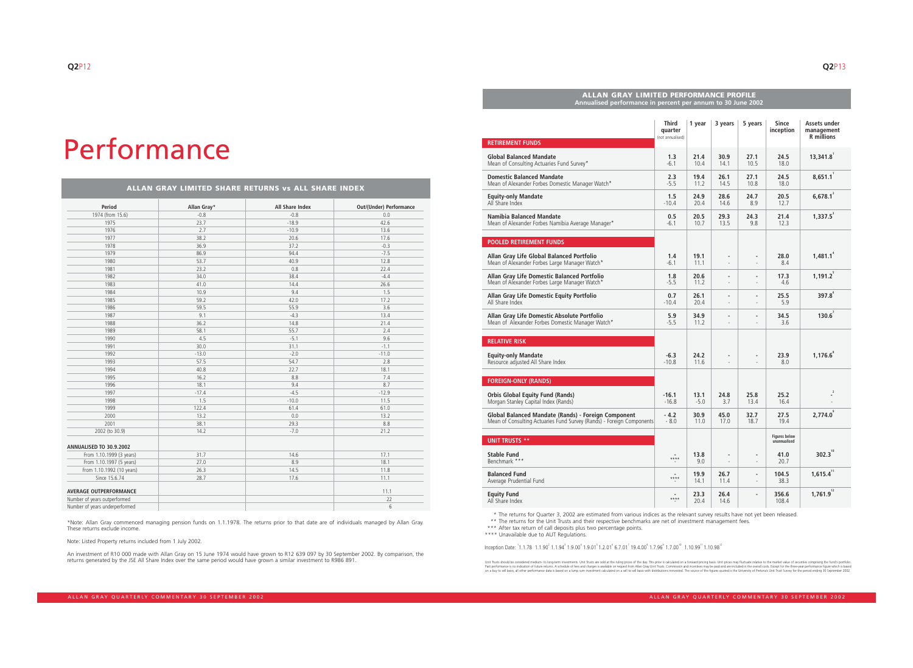# Performance

### **ALLAN GRAY LIMITED SHARE RETURNS vs ALL SHARE INDEX**

| Period                         | Allan Gray* | All Share Index | Out/(Under) Performance |
|--------------------------------|-------------|-----------------|-------------------------|
| 1974 (from 15.6)               | $-0.8$      | $-0.8$          | $0.0\,$                 |
| 1975                           | 23.7        | $-18.9$         | 42.6                    |
| 1976                           | 2.7         | $-10.9$         | 13.6                    |
| 1977                           | 38.2        | 20.6            | 17.6                    |
| 1978                           | 36.9        | 37.2            | $-0.3$                  |
| 1979                           | 86.9        | 94.4            | $-7.5$                  |
| 1980                           | 53.7        | 40.9            | 12.8                    |
| 1981                           | 23.2        | 0.8             | 22.4                    |
| 1982                           | 34.0        | 38.4            | $-4.4$                  |
| 1983                           | 41.0        | 14.4            | 26.6                    |
| 1984                           | 10.9        | 9.4             | 1.5                     |
| 1985                           | 59.2        | 42.0            | 17.2                    |
| 1986                           | 59.5        | 55.9            | 3.6                     |
| 1987                           | 9.1         | $-4.3$          | 13.4                    |
| 1988                           | 36.2        | 14.8            | 21.4                    |
| 1989                           | 58.1        | 55.7            | 2.4                     |
| 1990                           | 4.5         | $-5.1$          | 9.6                     |
| 1991                           | 30.0        | 31.1            | $-1.1$                  |
| 1992                           | $-13.0$     | $-2.0$          | $-11.0$                 |
| 1993                           | 57.5        | 54.7            | 2.8                     |
| 1994                           | 40.8        | 22.7            | 18.1                    |
| 1995                           | 16.2        | 8.8             | 7.4                     |
| 1996                           | 18.1        | 9.4             | 8.7                     |
| 1997                           | $-17.4$     | $-4.5$          | $-12.9$                 |
| 1998                           | 1.5         | $-10.0$         | 11.5                    |
| 1999                           | 122.4       | 61.4            | 61.0                    |
| 2000                           | 13.2        | 0.0             | 13.2                    |
| 2001                           | 38.1        | 29.3            | 8.8                     |
| 2002 (to 30.9)                 | 14.2        | $-7.0$          | 21.2                    |
| ANNUALISED TO 30.9.2002        |             |                 |                         |
| From 1.10.1999 (3 years)       | 31.7        | 14.6            | 17.1                    |
| From 1.10.1997 (5 years)       | 27.0        | 8.9             | 18.1                    |
| From 1.10.1992 (10 years)      | 26.3        | 14.5            | 11.8                    |
| Since 15.6.74                  | 28.7        | 17.6            | 11.1                    |
| <b>AVERAGE OUTPERFORMANCE</b>  |             |                 | 11.1                    |
| Number of years outperformed   |             |                 | 22                      |
| Number of years underperformed |             |                 | $6\,$                   |

\*Note: Allan Gray commenced managing pension funds on 1.1.1978. The returns prior to that date are of individuals managed by Allan Gray. These returns exclude income.

Note: Listed Property returns included from 1 July 2002.

An investment of R10 000 made with Allan Gray on 15 June 1974 would have grown to R12 639 097 by 30 September 2002. By comparison, the returns generated by the JSE All Share Index over the same period would have grown a similar investment to R986 891.

\*\* The returns for the Unit Trusts and their respective benchmarks are net of investment management fees.

\*\*\* After tax return of call deposits plus two percentage points.

\* The returns for Quarter 3, 2002 are estimated from various indices as the relevant survey results have not yet been released.

\*\*\*\* Unavailable due to AUT Regulations.

 $\blacksquare$ Inception Date:  $^{1}$ 1.1.78  $\hspace{0.1cm}$  1.1.94  $^{2}$  1.9.00  $^{4}$  1.9.01  $^{8}$  1.2.01  $^{6}$  6.7.01  $^{7}$  19.4.00  $^{8}$  1.7.06  $^{10}$  1.10.99  $^{11}$  1.10.98  $^{12}$ 

Unit Trusts should be considered medium- to long-term investments. Unit Trusts are sold at the ruling prices of the day. This price is calculated on a forward pricing basis. Unit prices may fluctuate relative to the market

| <b>ALLAN GRAY LIMITED PERFORMANCE PROFILE</b><br>Annualised performance in percent per annum to 30 June 2002                 |                                             |                |                                                      |                                                      |                                      |                                                 |
|------------------------------------------------------------------------------------------------------------------------------|---------------------------------------------|----------------|------------------------------------------------------|------------------------------------------------------|--------------------------------------|-------------------------------------------------|
| <b>RETIREMENT FUNDS</b>                                                                                                      | <b>Third</b><br>quarter<br>(not annualised) | 1 year         | 3 years                                              | 5 years                                              | <b>Since</b><br>inception            | Assets under<br>management<br><b>R</b> millions |
|                                                                                                                              |                                             |                |                                                      |                                                      |                                      |                                                 |
| <b>Global Balanced Mandate</b><br>Mean of Consulting Actuaries Fund Survey*                                                  | 1.3<br>$-6.1$                               | 21.4<br>10.4   | 30.9<br>14.1                                         | 27.1<br>10.5                                         | 24.5<br>18.0                         | 13,341.8                                        |
| <b>Domestic Balanced Mandate</b><br>Mean of Alexander Forbes Domestic Manager Watch*                                         | 2.3<br>$-5.5$                               | 19.4<br>11.2   | 26.1<br>14.5                                         | 27.1<br>10.8                                         | 24.5<br>18.0                         | 8,651.1                                         |
| <b>Equity-only Mandate</b><br>All Share Index                                                                                | 1.5<br>$-10.4$                              | 24.9<br>20.4   | 28.6<br>14.6                                         | 24.7<br>8.9                                          | 20.5<br>12.7                         | $6,678.1^{2}$                                   |
| Namibia Balanced Mandate<br>Mean of Alexander Forbes Namibia Average Manager*                                                | 0.5<br>$-6.1$                               | 20.5<br>10.7   | 29.3<br>13.5                                         | 24.3<br>9.8                                          | 21.4<br>12.3                         | $1,337.5^{3}$                                   |
| <b>POOLED RETIREMENT FUNDS</b>                                                                                               |                                             |                |                                                      |                                                      |                                      |                                                 |
| Allan Gray Life Global Balanced Portfolio<br>Mean of Alexander Forbes Large Manager Watch*                                   | 1.4<br>$-6.1$                               | 19.1<br>11.1   | $\overline{\phantom{a}}$<br>$\overline{\phantom{a}}$ | $\overline{\phantom{m}}$                             | 28.0<br>8.4                          | $1,481.1^{4}$                                   |
| Allan Gray Life Domestic Balanced Portfolio<br>Mean of Alexander Forbes Large Manager Watch*                                 | 1.8<br>$-5.5$                               | 20.6<br>11.2   | $\overline{\phantom{a}}$                             | $\overline{\phantom{a}}$                             | 17.3<br>4.6                          | 1,191.2                                         |
| Allan Gray Life Domestic Equity Portfolio<br>All Share Index                                                                 | 0.7<br>$-10.4$                              | 26.1<br>20.4   | $\blacksquare$                                       | $\overline{\phantom{a}}$                             | 25.5<br>5.9                          | 397.8°                                          |
| Allan Gray Life Domestic Absolute Portfolio<br>Mean of Alexander Forbes Domestic Manager Watch*                              | 5.9<br>$-5.5$                               | 34.9<br>11.2   |                                                      |                                                      | 34.5<br>3.6                          | $130.6^{7}$                                     |
| <b>RELATIVE RISK</b>                                                                                                         |                                             |                |                                                      |                                                      |                                      |                                                 |
| <b>Equity-only Mandate</b><br>Resource adjusted All Share Index                                                              | $-6.3$<br>$-10.8$                           | 24.2<br>11.6   | $\overline{\phantom{a}}$                             | $\overline{\phantom{a}}$                             | 23.9<br>8.0                          | $1,176.6^{\circ}$                               |
| <b>FOREIGN-ONLY (RANDS)</b>                                                                                                  |                                             |                |                                                      |                                                      |                                      |                                                 |
| <b>Orbis Global Equity Fund (Rands)</b><br>Morgan Stanley Capital Index (Rands)                                              | $-16.1$<br>$-16.8$                          | 13.1<br>$-5.0$ | 24.8<br>3.7                                          | 25.8<br>13.4                                         | 25.2<br>16.4                         | $\overline{a}$                                  |
| Global Balanced Mandate (Rands) - Foreign Component<br>Mean of Consulting Actuaries Fund Survey (Rands) - Foreign Components | $-4.2$<br>$-8.0$                            | 30.9<br>11.0   | 45.0<br>17.0                                         | 32.7<br>18.7                                         | 27.5<br>19.4                         | $2,774.0^{\circ}$                               |
| <b>UNIT TRUSTS **</b>                                                                                                        |                                             |                |                                                      |                                                      | <b>Figures below</b><br>unannualised |                                                 |
| <b>Stable Fund</b><br>Benchmark ***                                                                                          | $****$                                      | 13.8           |                                                      | $\overline{\phantom{a}}$                             | 41.0                                 | $302.3^{10}$                                    |
|                                                                                                                              |                                             | 9.0            |                                                      |                                                      | 20.7                                 |                                                 |
| <b>Balanced Fund</b><br>Average Prudential Fund                                                                              | ****                                        | 19.9<br>14.1   | 26.7<br>11.4                                         | $\overline{\phantom{a}}$<br>$\overline{\phantom{a}}$ | 104.5<br>38.3                        | $1,615.4$ <sup>11</sup>                         |
| <b>Equity Fund</b><br>All Share Index                                                                                        | $****$                                      | 23.3<br>20.4   | 26.4<br>14.6                                         | $\overline{\phantom{a}}$                             | 356.6<br>108.4                       | $1,761.9^{12}$                                  |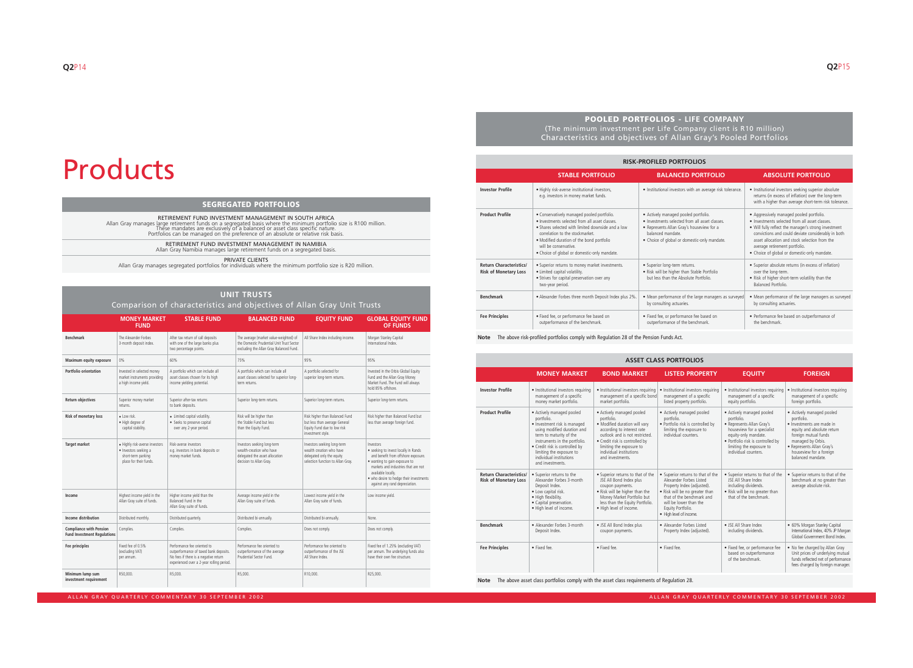### **POOLED PORTFOLIOS - LIFE COMPANY** (The minimum investment per Life Company client is R10 million) Characteristics and objectives of Allan Gray's Pooled Portfolios

**Note** The above risk-profiled portfolios comply with Regulation 28 of the Pension Funds Act.

| <b>RISK-PROFILED PORTFOLIOS</b>                                |                                                                                                                                                                                                                                                                                                            |                                                                                                                                                                                                          |                                                                                                                                                                                                                                                                                                                                            |  |  |
|----------------------------------------------------------------|------------------------------------------------------------------------------------------------------------------------------------------------------------------------------------------------------------------------------------------------------------------------------------------------------------|----------------------------------------------------------------------------------------------------------------------------------------------------------------------------------------------------------|--------------------------------------------------------------------------------------------------------------------------------------------------------------------------------------------------------------------------------------------------------------------------------------------------------------------------------------------|--|--|
|                                                                | <b>STABLE PORTFOLIO</b>                                                                                                                                                                                                                                                                                    | <b>BALANCED PORTFOLIO</b>                                                                                                                                                                                | <b>ABSOLUTE PORTFOLIO</b>                                                                                                                                                                                                                                                                                                                  |  |  |
| <b>Investor Profile</b>                                        | · Highly risk-averse institutional investors,<br>e.g. investors in money market funds.                                                                                                                                                                                                                     | · Institutional investors with an average risk tolerance.                                                                                                                                                | · Institutional investors seeking superior absolute<br>returns (in excess of inflation) over the long-term<br>with a higher than average short-term risk tolerance.                                                                                                                                                                        |  |  |
| <b>Product Profile</b>                                         | · Conservatively managed pooled portfolio.<br>. Investments selected from all asset classes.<br>• Shares selected with limited downside and a low<br>correlation to the stockmarket.<br>. Modified duration of the bond portfolio<br>will be conservative.<br>• Choice of global or domestic-only mandate. | • Actively managed pooled portfolio.<br>• Investments selected from all asset classes.<br>• Represents Allan Gray's houseview for a<br>balanced mandate.<br>• Choice of global or domestic-only mandate. | • Aggressively managed pooled portfolio.<br>• Investments selected from all asset classes.<br>• Will fully reflect the manager's strong investment<br>convictions and could deviate considerably in both<br>asset allocation and stock selection from the<br>average retirement portfolio.<br>• Choice of global or domestic-only mandate. |  |  |
| <b>Return Characteristics/</b><br><b>Risk of Monetary Loss</b> | · Superior returns to money market investments.<br>• Limited capital volatility.<br>• Strives for capital preservation over any<br>two-year period.                                                                                                                                                        | · Superior long-term returns.<br>. Risk will be higher than Stable Portfolio<br>but less than the Absolute Portfolio.                                                                                    | • Superior absolute returns (in excess of inflation)<br>over the long-term.<br>. Risk of higher short-term volatility than the<br>Balanced Portfolio.                                                                                                                                                                                      |  |  |
| <b>Benchmark</b>                                               | .2%. Alexander Forbes three month Deposit Index plus 2%                                                                                                                                                                                                                                                    | . Mean performance of the large managers as surveyed<br>by consulting actuaries.                                                                                                                         | • Mean performance of the large managers as surveyed<br>by consulting actuaries.                                                                                                                                                                                                                                                           |  |  |
| <b>Fee Principles</b>                                          | · Fixed fee, or performance fee based on<br>outperformance of the benchmark.                                                                                                                                                                                                                               | · Fixed fee, or performance fee based on<br>outperformance of the benchmark.                                                                                                                             | • Performance fee based on outperformance of<br>the benchmark.                                                                                                                                                                                                                                                                             |  |  |

| <b>ASSET CLASS PORTFOLIOS</b>                                  |                                                                                                                                                                                                                                                                                 |                                                                                                                                                                                                                                                       |                                                                                                                                                                                                                                     |                                                                                                                                                                                                                     |                                                                                                                                                                                                                              |  |
|----------------------------------------------------------------|---------------------------------------------------------------------------------------------------------------------------------------------------------------------------------------------------------------------------------------------------------------------------------|-------------------------------------------------------------------------------------------------------------------------------------------------------------------------------------------------------------------------------------------------------|-------------------------------------------------------------------------------------------------------------------------------------------------------------------------------------------------------------------------------------|---------------------------------------------------------------------------------------------------------------------------------------------------------------------------------------------------------------------|------------------------------------------------------------------------------------------------------------------------------------------------------------------------------------------------------------------------------|--|
|                                                                | <b>MONEY MARKET</b>                                                                                                                                                                                                                                                             | <b>BOND MARKET</b>                                                                                                                                                                                                                                    | <b>LISTED PROPERTY</b>                                                                                                                                                                                                              | <b>EQUITY</b>                                                                                                                                                                                                       | <b>FOREIGN</b>                                                                                                                                                                                                               |  |
| <b>Investor Profile</b>                                        | · Institutional investors requiring<br>management of a specific<br>money market portfolio.                                                                                                                                                                                      | · Institutional investors requiring<br>management of a specific bond<br>market portfolio.                                                                                                                                                             | · Institutional investors requiring<br>management of a specific<br>listed property portfolio.                                                                                                                                       | · Institutional investors requiring<br>management of a specific<br>equity portfolio.                                                                                                                                | · Institutional investors requiring<br>management of a specific<br>foreign portfolio.                                                                                                                                        |  |
| <b>Product Profile</b>                                         | • Actively managed pooled<br>portfolio.<br>· Investment risk is managed<br>using modified duration and<br>term to maturity of the<br>instruments in the portfolio.<br>• Credit risk is controlled by<br>limiting the exposure to<br>individual institutions<br>and investments. | · Actively managed pooled<br>portfolio.<br>· Modified duration will vary<br>according to interest rate<br>outlook and is not restricted.<br>• Credit risk is controlled by<br>limiting the exposure to<br>individual institutions<br>and investments. | • Actively managed pooled<br>portfolio.<br>· Portfolio risk is controlled by<br>limiting the exposure to<br>individual counters.                                                                                                    | • Actively managed pooled<br>portfolio.<br>• Represents Allan Gray's<br>houseview for a specialist<br>equity-only mandate.<br>• Portfolio risk is controlled by<br>limiting the exposure to<br>individual counters. | • Actively managed pooled<br>portfolio.<br>• Investments are made in<br>equity and absolute return<br>foreign mutual funds<br>managed by Orbis.<br>• Represents Allan Gray's<br>houseview for a foreign<br>balanced mandate. |  |
| <b>Return Characteristics/</b><br><b>Risk of Monetary Loss</b> | • Superior returns to the<br>Alexander Forbes 3-month<br>Deposit Index.<br>• Low capital risk.<br>• High flexibility.<br>• Capital preservation.<br>· High level of income.                                                                                                     | • Superior returns to that of the<br>JSE All Bond Index plus<br>coupon payments.<br>. Risk will be higher than the<br>Money Market Portfolio but<br>less than the Equity Portfolio.<br>· High level of income.                                        | • Superior returns to that of the<br>Alexander Forbes Listed<br>Property Index (adjusted).<br>. Risk will be no greater than<br>that of the benchmark and<br>will be lower than the<br>Equity Portfolio.<br>• High level of income. | • Superior returns to that of the<br>JSE All Share Index<br>including dividends.<br>• Risk will be no greater than<br>that of the benchmark.                                                                        | • Superior returns to that of the<br>benchmark at no greater than<br>average absolute risk.                                                                                                                                  |  |
| <b>Benchmark</b>                                               | • Alexander Forbes 3-month<br>Deposit Index.                                                                                                                                                                                                                                    | • JSE All Bond Index plus<br>coupon payments.                                                                                                                                                                                                         | • Alexander Forbes Listed<br>Property Index (adjusted).                                                                                                                                                                             | • JSE All Share Index<br>including dividends.                                                                                                                                                                       | • 60% Morgan Stanley Capital<br>International Index, 40% JP Morgan<br>Global Government Bond Index.                                                                                                                          |  |
| <b>Fee Principles</b>                                          | • Fixed fee.                                                                                                                                                                                                                                                                    | · Fixed fee.                                                                                                                                                                                                                                          | · Fixed fee.                                                                                                                                                                                                                        | · Fixed fee, or performance fee<br>based on outperformance<br>of the benchmark.                                                                                                                                     | . No fee charged by Allan Gray<br>Unit prices of underlying mutual<br>funds reflected net of performance<br>fees charged by foreign manager.                                                                                 |  |

**Note** The above asset class portfolios comply with the asset class requirements of Regulation 28.

# Products

|                                                                      | <b>MONEY MARKET</b><br><b>FUND</b>                                                                      | <b>STABLE FUND</b>                                                                                                                                          | <b>BALANCED FUND</b>                                                                                                           | <b>EQUITY FUND</b>                                                                                                        | <b>GLOBAL EQUITY FUND</b><br><b>OF FUNDS</b>                                                                                                                                                                                                                        |
|----------------------------------------------------------------------|---------------------------------------------------------------------------------------------------------|-------------------------------------------------------------------------------------------------------------------------------------------------------------|--------------------------------------------------------------------------------------------------------------------------------|---------------------------------------------------------------------------------------------------------------------------|---------------------------------------------------------------------------------------------------------------------------------------------------------------------------------------------------------------------------------------------------------------------|
| <b>Benchmark</b>                                                     | The Alexander Forbes<br>3-month deposit index.                                                          | After tax return of call deposits<br>with one of the large banks plus<br>two percentage points.                                                             | The average (market value-weighted) of<br>the Domestic Prudential Unit Trust Sector<br>excluding the Allan Gray Balanced Fund. | All Share Index including income.                                                                                         | Morgan Stanley Capital<br>International Index.                                                                                                                                                                                                                      |
| Maximum equity exposure                                              | $0\%$                                                                                                   | 60%                                                                                                                                                         | 75%                                                                                                                            | 95%                                                                                                                       | 95%                                                                                                                                                                                                                                                                 |
| <b>Portfolio orientation</b>                                         | Invested in selected money<br>market instruments providing<br>a high income yield.                      | A portfolio which can include all<br>asset classes chosen for its high<br>income yielding potential.                                                        | A portfolio which can include all<br>asset classes selected for superior long-<br>term returns.                                | A portfolio selected for<br>superior long-term returns.                                                                   | Invested in the Orbis Global Equity<br>Fund and the Allan Gray Money<br>Market Fund. The Fund will always<br>hold 85% offshore.                                                                                                                                     |
| <b>Return objectives</b>                                             | Superior money market<br>returns.                                                                       | Superior after-tax returns<br>to bank deposits.                                                                                                             | Superior long-term returns.                                                                                                    | Superior long-term returns.                                                                                               | Superior long-term returns.                                                                                                                                                                                                                                         |
| Risk of monetary loss                                                | • Low risk.<br>· High degree of<br>capital stability.                                                   | • Limited capital volatility.<br>• Seeks to preserve capital<br>over any 2-year period.                                                                     | Risk will be higher than<br>the Stable Fund but less<br>than the Equity Fund.                                                  | Risk higher than Balanced Fund<br>but less than average General<br>Equity Fund due to low risk<br>investment style.       | Risk higher than Balanced Fund but<br>less than average foreign fund.                                                                                                                                                                                               |
| <b>Target market</b>                                                 | · Highly risk-averse investors<br>· Investors seeking a<br>short-term parking<br>place for their funds. | Risk-averse investors<br>e.g. investors in bank deposits or<br>money market funds.                                                                          | Investors seeking long-term<br>wealth-creation who have<br>delegated the asset allocation<br>decision to Allan Gray.           | Investors seeking long-term<br>wealth creation who have<br>delegated only the equity<br>selection function to Allan Gray. | Investors<br>• seeking to invest locally in Rands<br>and benefit from offshore exposure.<br>· wanting to gain exposure to<br>markets and industries that are not<br>available locally.<br>· who desire to hedge their investments<br>against any rand depreciation. |
| Income                                                               | Highest income yield in the<br>Allan Gray suite of funds.                                               | Higher income yield than the<br>Balanced Fund in the<br>Allan Gray suite of funds.                                                                          | Average income yield in the<br>Allan Gray suite of funds.                                                                      | Lowest income yield in the<br>Allan Gray suite of funds.                                                                  | Low income yield.                                                                                                                                                                                                                                                   |
| Income distribution                                                  | Distributed monthly.                                                                                    | Distributed quarterly.                                                                                                                                      | Distributed bi-annually.                                                                                                       | Distributed bi-annually.                                                                                                  | None.                                                                                                                                                                                                                                                               |
| <b>Compliance with Pension</b><br><b>Fund Investment Regulations</b> | Complies.                                                                                               | Complies.                                                                                                                                                   | Complies.                                                                                                                      | Does not comply.                                                                                                          | Does not comply.                                                                                                                                                                                                                                                    |
| Fee principles                                                       | Fixed fee of 0.5%<br>(excluding VAT)<br>per annum.                                                      | Performance fee oriented to<br>outperformance of taxed bank deposits.<br>No fees if there is a negative return<br>experienced over a 2-year rolling period. | Performance fee oriented to<br>outperformance of the average<br>Prudential Sector Fund.                                        | Performance fee oriented to<br>outperformance of the JSE<br>All Share Index.                                              | Fixed fee of 1.25% (excluding VAT)<br>per annum. The underlying funds also<br>have their own fee structure.                                                                                                                                                         |
| Minimum lump sum<br>investment requirement                           | R50,000.                                                                                                | R5,000.                                                                                                                                                     | R5,000.                                                                                                                        | R10,000.                                                                                                                  | R25,000.                                                                                                                                                                                                                                                            |

### **UNIT TRUSTS**

Comparison of characteristics and objectives of Allan Gray Unit Trusts

### **SEGREGATED PORTFOLIOS**

RETIREMENT FUND INVESTMENT MANAGEMENT IN SOUTH AFRICA<br>Allan Gray manages large retirement funds on a segregated basis where the minimum portfolio size is R100 million.<br>These mandates are exclusively of a balanced or asset

RETIREMENT FUND INVESTMENT MANAGEMENT IN NAMIBIA Allan Gray Namibia manages large retirement funds on a segregated basis.

PRIVATE CLIENTS

Allan Gray manages segregated portfolios for individuals where the minimum portfolio size is R20 million.